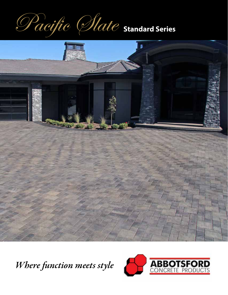Pacific Slate **Standard Series**



*Where function meets style*

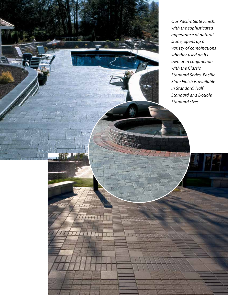*Our Pacific Slate Finish, with the sophisticated appearance of natural stone, opens up a variety of combinations whether used on its own or in conjunction with the Classic Standard Series. Pacific Slate Finish is available in Standard, Half Standard and Double Standard sizes.*

**Sandalwood & Teak Sandalwood & Teak**

**Shadow**

W

 $11111$ 

**TTHEFT** 

 $\mathbf{r}$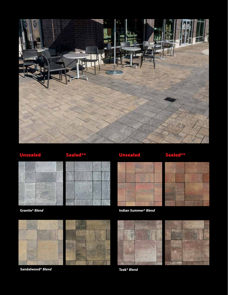





**Granite\*** *Blend*





**Sandalwood\*** *Blend* 







**Teak\*** *Blend*